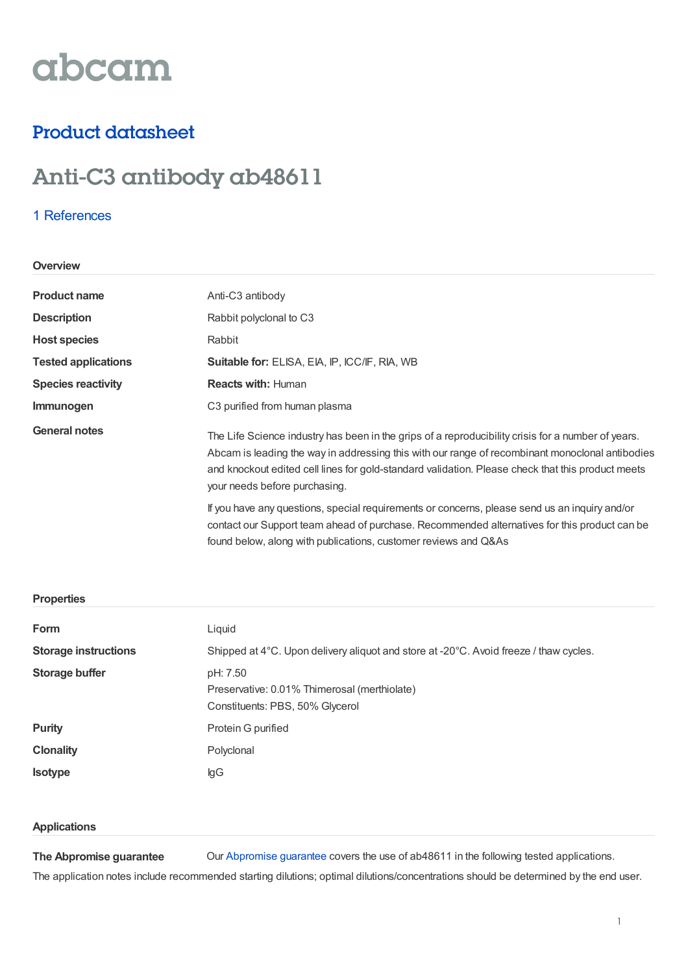# abcam

### Product datasheet

## Anti-C3 antibody ab48611

#### 1 [References](https://www.abcam.com/c3-antibody-ab48611.html#description_references)

#### **Overview**

| <b>Product name</b>        | Anti-C3 antibody                                                                                                                                                                                                                                                                                                                                                                                                                                                                                                                             |  |
|----------------------------|----------------------------------------------------------------------------------------------------------------------------------------------------------------------------------------------------------------------------------------------------------------------------------------------------------------------------------------------------------------------------------------------------------------------------------------------------------------------------------------------------------------------------------------------|--|
| <b>Description</b>         | Rabbit polyclonal to C3                                                                                                                                                                                                                                                                                                                                                                                                                                                                                                                      |  |
| <b>Host species</b>        | Rabbit                                                                                                                                                                                                                                                                                                                                                                                                                                                                                                                                       |  |
| <b>Tested applications</b> | Suitable for: ELISA, EIA, IP, ICC/IF, RIA, WB                                                                                                                                                                                                                                                                                                                                                                                                                                                                                                |  |
| <b>Species reactivity</b>  | <b>Reacts with: Human</b>                                                                                                                                                                                                                                                                                                                                                                                                                                                                                                                    |  |
| Immunogen                  | C <sub>3</sub> purified from human plasma                                                                                                                                                                                                                                                                                                                                                                                                                                                                                                    |  |
| <b>General notes</b>       | The Life Science industry has been in the grips of a reproducibility crisis for a number of years.<br>Abcam is leading the way in addressing this with our range of recombinant monoclonal antibodies<br>and knockout edited cell lines for gold-standard validation. Please check that this product meets<br>your needs before purchasing.<br>If you have any questions, special requirements or concerns, please send us an inquiry and/or<br>contact our Support team ahead of purchase. Recommended alternatives for this product can be |  |
|                            | found below, along with publications, customer reviews and Q&As                                                                                                                                                                                                                                                                                                                                                                                                                                                                              |  |

#### **Properties**

| Form                        | Liquid                                                                                      |
|-----------------------------|---------------------------------------------------------------------------------------------|
| <b>Storage instructions</b> | Shipped at 4°C. Upon delivery aliquot and store at -20°C. Avoid freeze / thaw cycles.       |
| Storage buffer              | pH: 7.50<br>Preservative: 0.01% Thimerosal (merthiolate)<br>Constituents: PBS, 50% Glycerol |
| <b>Purity</b>               | Protein G purified                                                                          |
| <b>Clonality</b>            | Polyclonal                                                                                  |
| <b>Isotype</b>              | lgG                                                                                         |

#### **Applications**

**The Abpromise guarantee** Our [Abpromise](https://www.abcam.com/abpromise) guarantee covers the use of ab48611 in the following tested applications.

The application notes include recommended starting dilutions; optimal dilutions/concentrations should be determined by the end user.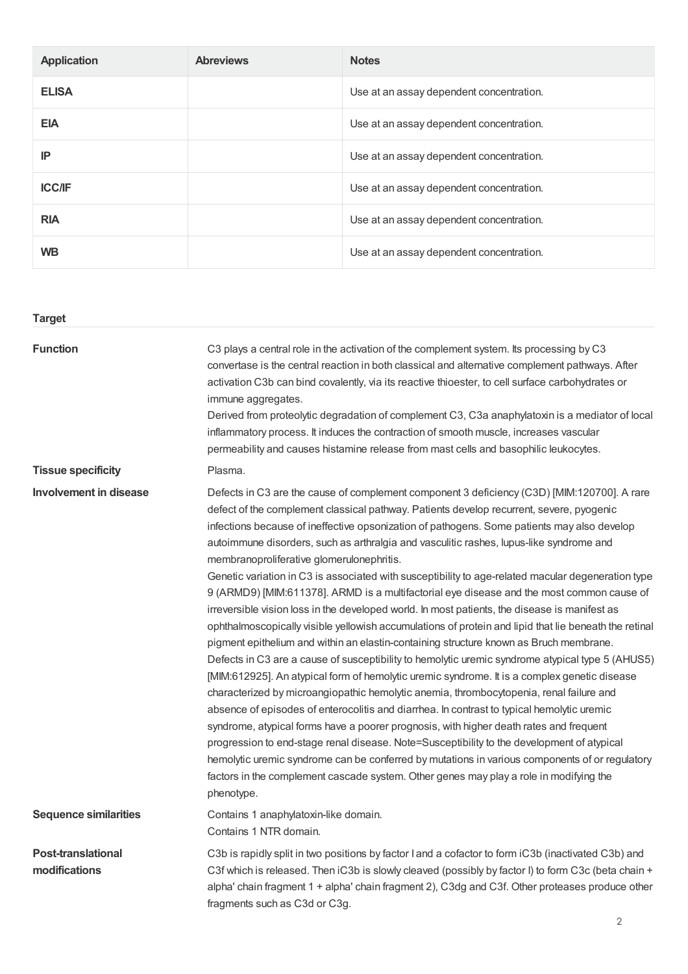| <b>Application</b> | <b>Abreviews</b> | <b>Notes</b>                             |
|--------------------|------------------|------------------------------------------|
| <b>ELISA</b>       |                  | Use at an assay dependent concentration. |
| <b>EIA</b>         |                  | Use at an assay dependent concentration. |
| IP                 |                  | Use at an assay dependent concentration. |
| <b>ICC/IF</b>      |                  | Use at an assay dependent concentration. |
| <b>RIA</b>         |                  | Use at an assay dependent concentration. |
| <b>WB</b>          |                  | Use at an assay dependent concentration. |

| <b>Target</b>                              |                                                                                                                                                                                                                                                                                                                                                                                                                                                                                                                                                                                                                                                                                                                                                                                                                                                                                                                                                                                                                                                                                                                                                                                                                                                                                                                                                                                                                                                                                                                                                                                                                                                                                                                                      |
|--------------------------------------------|--------------------------------------------------------------------------------------------------------------------------------------------------------------------------------------------------------------------------------------------------------------------------------------------------------------------------------------------------------------------------------------------------------------------------------------------------------------------------------------------------------------------------------------------------------------------------------------------------------------------------------------------------------------------------------------------------------------------------------------------------------------------------------------------------------------------------------------------------------------------------------------------------------------------------------------------------------------------------------------------------------------------------------------------------------------------------------------------------------------------------------------------------------------------------------------------------------------------------------------------------------------------------------------------------------------------------------------------------------------------------------------------------------------------------------------------------------------------------------------------------------------------------------------------------------------------------------------------------------------------------------------------------------------------------------------------------------------------------------------|
| <b>Function</b>                            | C3 plays a central role in the activation of the complement system. Its processing by C3<br>convertase is the central reaction in both classical and alternative complement pathways. After<br>activation C3b can bind covalently, via its reactive thioester, to cell surface carbohydrates or<br>immune aggregates.<br>Derived from proteolytic degradation of complement C3, C3a anaphylatoxin is a mediator of local<br>inflammatory process. It induces the contraction of smooth muscle, increases vascular<br>permeability and causes histamine release from mast cells and basophilic leukocytes.                                                                                                                                                                                                                                                                                                                                                                                                                                                                                                                                                                                                                                                                                                                                                                                                                                                                                                                                                                                                                                                                                                                            |
| <b>Tissue specificity</b>                  | Plasma.                                                                                                                                                                                                                                                                                                                                                                                                                                                                                                                                                                                                                                                                                                                                                                                                                                                                                                                                                                                                                                                                                                                                                                                                                                                                                                                                                                                                                                                                                                                                                                                                                                                                                                                              |
| <b>Involvement in disease</b>              | Defects in C3 are the cause of complement component 3 deficiency (C3D) [MIM:120700]. A rare<br>defect of the complement classical pathway. Patients develop recurrent, severe, pyogenic<br>infections because of ineffective opsonization of pathogens. Some patients may also develop<br>autoimmune disorders, such as arthralgia and vasculitic rashes, lupus-like syndrome and<br>membranoproliferative glomerulonephritis.<br>Genetic variation in C3 is associated with susceptibility to age-related macular degeneration type<br>9 (ARMD9) [MIM:611378]. ARMD is a multifactorial eye disease and the most common cause of<br>irreversible vision loss in the developed world. In most patients, the disease is manifest as<br>ophthalmoscopically visible yellowish accumulations of protein and lipid that lie beneath the retinal<br>pigment epithelium and within an elastin-containing structure known as Bruch membrane.<br>Defects in C3 are a cause of susceptibility to hemolytic uremic syndrome atypical type 5 (AHUS5)<br>[MIM:612925]. An atypical form of hemolytic uremic syndrome. It is a complex genetic disease<br>characterized by microangiopathic hemolytic anemia, thrombocytopenia, renal failure and<br>absence of episodes of enterocolitis and diarrhea. In contrast to typical hemolytic uremic<br>syndrome, atypical forms have a poorer prognosis, with higher death rates and frequent<br>progression to end-stage renal disease. Note=Susceptibility to the development of atypical<br>hemolytic uremic syndrome can be conferred by mutations in various components of or regulatory<br>factors in the complement cascade system. Other genes may play a role in modifying the<br>phenotype. |
| <b>Sequence similarities</b>               | Contains 1 anaphylatoxin-like domain.<br>Contains 1 NTR domain.                                                                                                                                                                                                                                                                                                                                                                                                                                                                                                                                                                                                                                                                                                                                                                                                                                                                                                                                                                                                                                                                                                                                                                                                                                                                                                                                                                                                                                                                                                                                                                                                                                                                      |
| <b>Post-translational</b><br>modifications | C3b is rapidly split in two positions by factor I and a cofactor to form iC3b (inactivated C3b) and<br>C3f which is released. Then iC3b is slowly cleaved (possibly by factor I) to form C3c (beta chain +<br>alpha' chain fragment 1 + alpha' chain fragment 2), C3dg and C3f. Other proteases produce other<br>fragments such as C3d or C3g.                                                                                                                                                                                                                                                                                                                                                                                                                                                                                                                                                                                                                                                                                                                                                                                                                                                                                                                                                                                                                                                                                                                                                                                                                                                                                                                                                                                       |